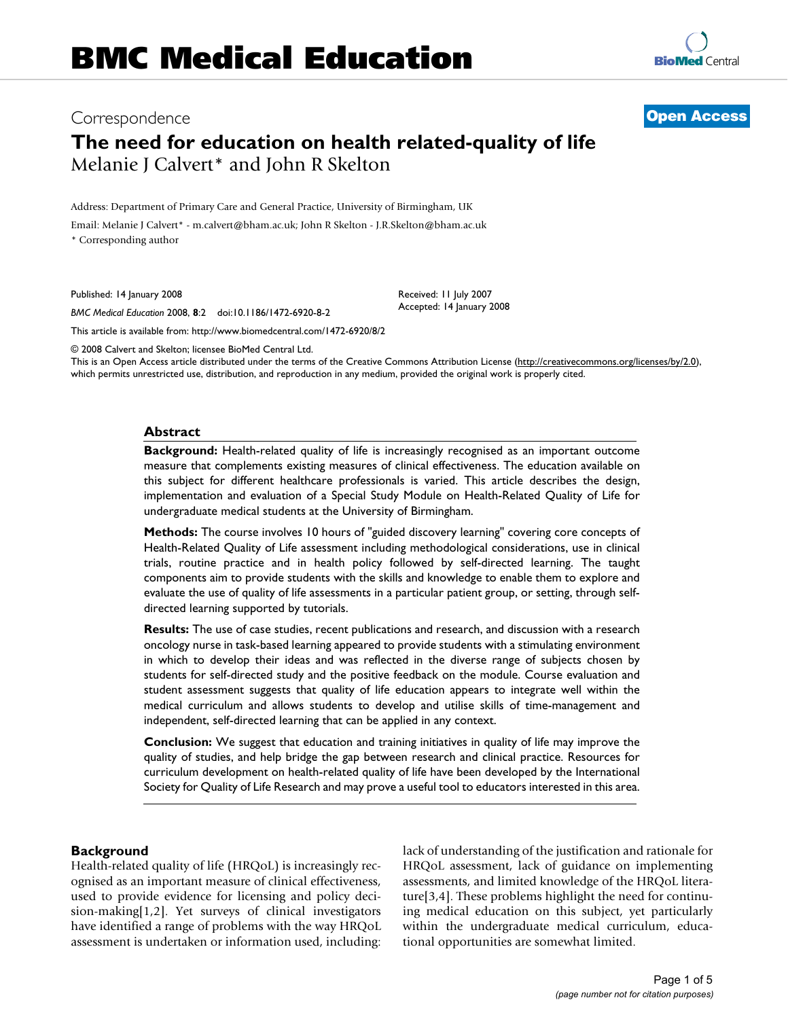# Correspondence **[Open Access](http://www.biomedcentral.com/info/about/charter/)**

# **The need for education on health related-quality of life** Melanie J Calvert\* and John R Skelton

Address: Department of Primary Care and General Practice, University of Birmingham, UK

Email: Melanie J Calvert\* - m.calvert@bham.ac.uk; John R Skelton - J.R.Skelton@bham.ac.uk \* Corresponding author

Published: 14 January 2008

*BMC Medical Education* 2008, **8**:2 doi:10.1186/1472-6920-8-2

[This article is available from: http://www.biomedcentral.com/1472-6920/8/2](http://www.biomedcentral.com/1472-6920/8/2)

© 2008 Calvert and Skelton; licensee BioMed Central Ltd.

This is an Open Access article distributed under the terms of the Creative Commons Attribution License [\(http://creativecommons.org/licenses/by/2.0\)](http://creativecommons.org/licenses/by/2.0), which permits unrestricted use, distribution, and reproduction in any medium, provided the original work is properly cited.

#### **Abstract**

**Background:** Health-related quality of life is increasingly recognised as an important outcome measure that complements existing measures of clinical effectiveness. The education available on this subject for different healthcare professionals is varied. This article describes the design, implementation and evaluation of a Special Study Module on Health-Related Quality of Life for undergraduate medical students at the University of Birmingham.

**Methods:** The course involves 10 hours of "guided discovery learning" covering core concepts of Health-Related Quality of Life assessment including methodological considerations, use in clinical trials, routine practice and in health policy followed by self-directed learning. The taught components aim to provide students with the skills and knowledge to enable them to explore and evaluate the use of quality of life assessments in a particular patient group, or setting, through selfdirected learning supported by tutorials.

**Results:** The use of case studies, recent publications and research, and discussion with a research oncology nurse in task-based learning appeared to provide students with a stimulating environment in which to develop their ideas and was reflected in the diverse range of subjects chosen by students for self-directed study and the positive feedback on the module. Course evaluation and student assessment suggests that quality of life education appears to integrate well within the medical curriculum and allows students to develop and utilise skills of time-management and independent, self-directed learning that can be applied in any context.

**Conclusion:** We suggest that education and training initiatives in quality of life may improve the quality of studies, and help bridge the gap between research and clinical practice. Resources for curriculum development on health-related quality of life have been developed by the International Society for Quality of Life Research and may prove a useful tool to educators interested in this area.

#### **Background**

Health-related quality of life (HRQoL) is increasingly recognised as an important measure of clinical effectiveness, used to provide evidence for licensing and policy decision-making[1,2]. Yet surveys of clinical investigators have identified a range of problems with the way HRQoL assessment is undertaken or information used, including: lack of understanding of the justification and rationale for HRQoL assessment, lack of guidance on implementing assessments, and limited knowledge of the HRQoL literature[3,4]. These problems highlight the need for continuing medical education on this subject, yet particularly within the undergraduate medical curriculum, educational opportunities are somewhat limited.



Received: 11 July 2007 Accepted: 14 January 2008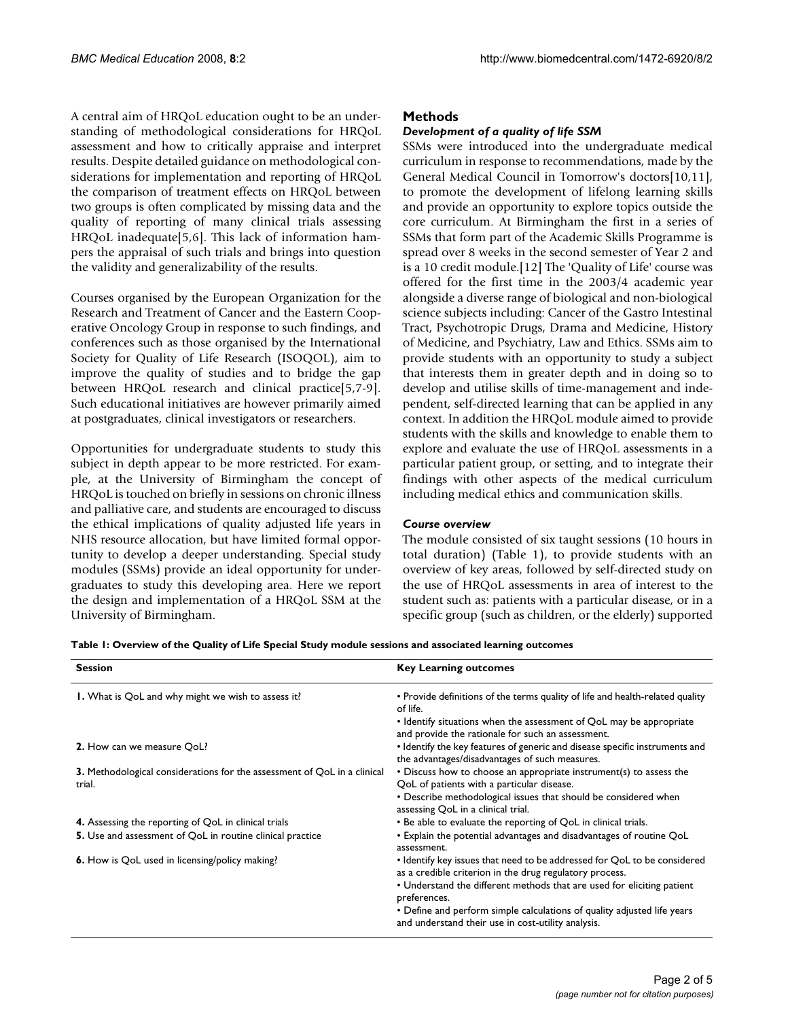A central aim of HRQoL education ought to be an understanding of methodological considerations for HRQoL assessment and how to critically appraise and interpret results. Despite detailed guidance on methodological considerations for implementation and reporting of HRQoL the comparison of treatment effects on HRQoL between two groups is often complicated by missing data and the quality of reporting of many clinical trials assessing HRQoL inadequate[5,6]. This lack of information hampers the appraisal of such trials and brings into question the validity and generalizability of the results.

Courses organised by the European Organization for the Research and Treatment of Cancer and the Eastern Cooperative Oncology Group in response to such findings, and conferences such as those organised by the International Society for Quality of Life Research (ISOQOL), aim to improve the quality of studies and to bridge the gap between HRQoL research and clinical practice[5,7-9]. Such educational initiatives are however primarily aimed at postgraduates, clinical investigators or researchers.

Opportunities for undergraduate students to study this subject in depth appear to be more restricted. For example, at the University of Birmingham the concept of HRQoL is touched on briefly in sessions on chronic illness and palliative care, and students are encouraged to discuss the ethical implications of quality adjusted life years in NHS resource allocation, but have limited formal opportunity to develop a deeper understanding. Special study modules (SSMs) provide an ideal opportunity for undergraduates to study this developing area. Here we report the design and implementation of a HRQoL SSM at the University of Birmingham.

# **Methods**

### *Development of a quality of life SSM*

SSMs were introduced into the undergraduate medical curriculum in response to recommendations, made by the General Medical Council in Tomorrow's doctors[10,11], to promote the development of lifelong learning skills and provide an opportunity to explore topics outside the core curriculum. At Birmingham the first in a series of SSMs that form part of the Academic Skills Programme is spread over 8 weeks in the second semester of Year 2 and is a 10 credit module.[12] The 'Quality of Life' course was offered for the first time in the 2003/4 academic year alongside a diverse range of biological and non-biological science subjects including: Cancer of the Gastro Intestinal Tract, Psychotropic Drugs, Drama and Medicine, History of Medicine, and Psychiatry, Law and Ethics. SSMs aim to provide students with an opportunity to study a subject that interests them in greater depth and in doing so to develop and utilise skills of time-management and independent, self-directed learning that can be applied in any context. In addition the HRQoL module aimed to provide students with the skills and knowledge to enable them to explore and evaluate the use of HRQoL assessments in a particular patient group, or setting, and to integrate their findings with other aspects of the medical curriculum including medical ethics and communication skills.

#### *Course overview*

The module consisted of six taught sessions (10 hours in total duration) (Table 1), to provide students with an overview of key areas, followed by self-directed study on the use of HRQoL assessments in area of interest to the student such as: patients with a particular disease, or in a specific group (such as children, or the elderly) supported

**Table 1: Overview of the Quality of Life Special Study module sessions and associated learning outcomes**

| <b>Session</b>                                                                            | <b>Key Learning outcomes</b>                                                                                                        |
|-------------------------------------------------------------------------------------------|-------------------------------------------------------------------------------------------------------------------------------------|
| I. What is QoL and why might we wish to assess it?                                        | • Provide definitions of the terms quality of life and health-related quality<br>of life.                                           |
|                                                                                           | • Identify situations when the assessment of QoL may be appropriate<br>and provide the rationale for such an assessment.            |
| 2. How can we measure QoL?                                                                | • Identify the key features of generic and disease specific instruments and<br>the advantages/disadvantages of such measures.       |
| <b>3.</b> Methodological considerations for the assessment of QoL in a clinical<br>trial. | • Discuss how to choose an appropriate instrument(s) to assess the<br>QoL of patients with a particular disease.                    |
|                                                                                           | • Describe methodological issues that should be considered when<br>assessing QoL in a clinical trial.                               |
| 4. Assessing the reporting of QoL in clinical trials                                      | • Be able to evaluate the reporting of QoL in clinical trials.                                                                      |
| 5. Use and assessment of QoL in routine clinical practice                                 | • Explain the potential advantages and disadvantages of routine QoL<br>assessment.                                                  |
| <b>6.</b> How is QoL used in licensing/policy making?                                     | • Identify key issues that need to be addressed for QoL to be considered<br>as a credible criterion in the drug regulatory process. |
|                                                                                           | • Understand the different methods that are used for eliciting patient<br>preferences.                                              |
|                                                                                           | • Define and perform simple calculations of quality adjusted life years<br>and understand their use in cost-utility analysis.       |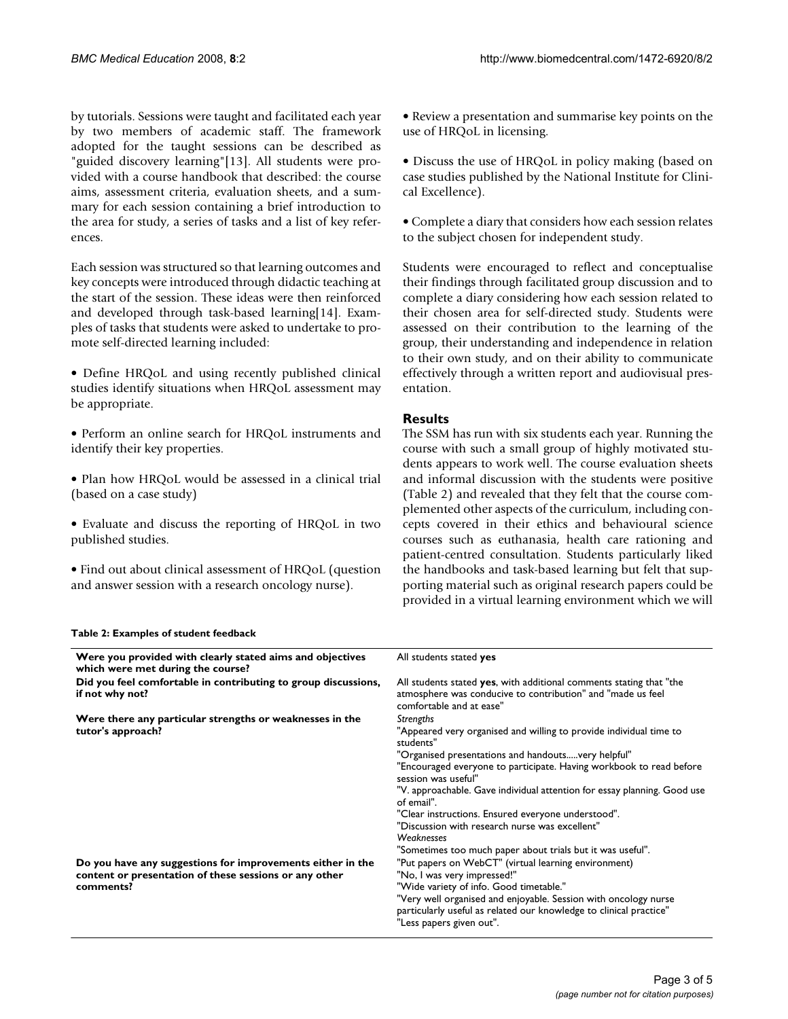by tutorials. Sessions were taught and facilitated each year by two members of academic staff. The framework adopted for the taught sessions can be described as "guided discovery learning"[13]. All students were provided with a course handbook that described: the course aims, assessment criteria, evaluation sheets, and a summary for each session containing a brief introduction to the area for study, a series of tasks and a list of key references.

Each session was structured so that learning outcomes and key concepts were introduced through didactic teaching at the start of the session. These ideas were then reinforced and developed through task-based learning[14]. Examples of tasks that students were asked to undertake to promote self-directed learning included:

• Define HRQoL and using recently published clinical studies identify situations when HRQoL assessment may be appropriate.

• Perform an online search for HRQoL instruments and identify their key properties.

• Plan how HRQoL would be assessed in a clinical trial (based on a case study)

• Evaluate and discuss the reporting of HRQoL in two published studies.

• Find out about clinical assessment of HRQoL (question and answer session with a research oncology nurse).

• Review a presentation and summarise key points on the use of HRQoL in licensing.

• Discuss the use of HRQoL in policy making (based on case studies published by the National Institute for Clinical Excellence).

• Complete a diary that considers how each session relates to the subject chosen for independent study.

Students were encouraged to reflect and conceptualise their findings through facilitated group discussion and to complete a diary considering how each session related to their chosen area for self-directed study. Students were assessed on their contribution to the learning of the group, their understanding and independence in relation to their own study, and on their ability to communicate effectively through a written report and audiovisual presentation.

## **Results**

The SSM has run with six students each year. Running the course with such a small group of highly motivated students appears to work well. The course evaluation sheets and informal discussion with the students were positive (Table 2) and revealed that they felt that the course complemented other aspects of the curriculum, including concepts covered in their ethics and behavioural science courses such as euthanasia, health care rationing and patient-centred consultation. Students particularly liked the handbooks and task-based learning but felt that supporting material such as original research papers could be provided in a virtual learning environment which we will

#### **Table 2: Examples of student feedback**

| Were you provided with clearly stated aims and objectives<br>which were met during the course?                                    | All students stated yes                                                                                                                                                                                                                                                                                                                                                                                                                                                                                                        |
|-----------------------------------------------------------------------------------------------------------------------------------|--------------------------------------------------------------------------------------------------------------------------------------------------------------------------------------------------------------------------------------------------------------------------------------------------------------------------------------------------------------------------------------------------------------------------------------------------------------------------------------------------------------------------------|
| Did you feel comfortable in contributing to group discussions,<br>if not why not?                                                 | All students stated yes, with additional comments stating that "the<br>atmosphere was conducive to contribution" and "made us feel<br>comfortable and at ease"                                                                                                                                                                                                                                                                                                                                                                 |
| Were there any particular strengths or weaknesses in the<br>tutor's approach?                                                     | Strengths<br>"Appeared very organised and willing to provide individual time to<br>students"<br>"Organised presentations and handoutsvery helpful"<br>"Encouraged everyone to participate. Having workbook to read before<br>session was useful"<br>"V. approachable. Gave individual attention for essay planning. Good use<br>of email".<br>"Clear instructions. Ensured everyone understood".<br>"Discussion with research nurse was excellent"<br>Weaknesses<br>"Sometimes too much paper about trials but it was useful". |
| Do you have any suggestions for improvements either in the<br>content or presentation of these sessions or any other<br>comments? | "Put papers on WebCT" (virtual learning environment)<br>"No, I was very impressed!"<br>"Wide variety of info. Good timetable."<br>"Very well organised and enjoyable. Session with oncology nurse<br>particularly useful as related our knowledge to clinical practice"<br>"Less papers given out".                                                                                                                                                                                                                            |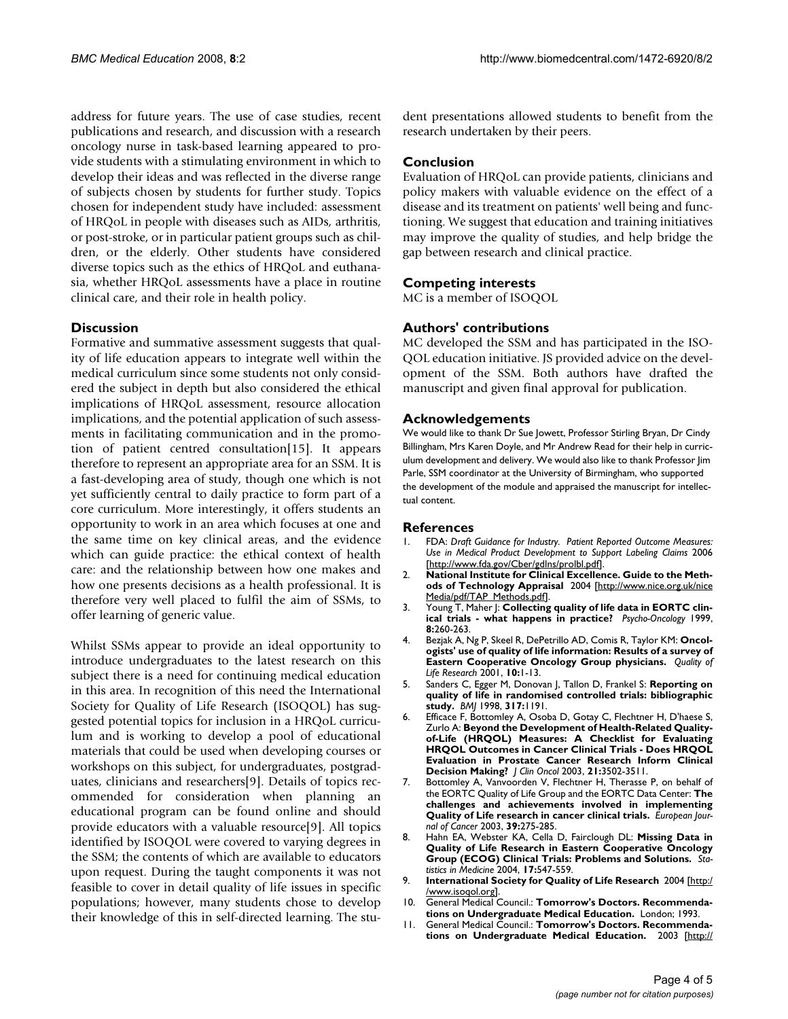address for future years. The use of case studies, recent publications and research, and discussion with a research oncology nurse in task-based learning appeared to provide students with a stimulating environment in which to develop their ideas and was reflected in the diverse range of subjects chosen by students for further study. Topics chosen for independent study have included: assessment of HRQoL in people with diseases such as AIDs, arthritis, or post-stroke, or in particular patient groups such as children, or the elderly. Other students have considered diverse topics such as the ethics of HRQoL and euthanasia, whether HRQoL assessments have a place in routine clinical care, and their role in health policy.

# **Discussion**

Formative and summative assessment suggests that quality of life education appears to integrate well within the medical curriculum since some students not only considered the subject in depth but also considered the ethical implications of HRQoL assessment, resource allocation implications, and the potential application of such assessments in facilitating communication and in the promotion of patient centred consultation[15]. It appears therefore to represent an appropriate area for an SSM. It is a fast-developing area of study, though one which is not yet sufficiently central to daily practice to form part of a core curriculum. More interestingly, it offers students an opportunity to work in an area which focuses at one and the same time on key clinical areas, and the evidence which can guide practice: the ethical context of health care: and the relationship between how one makes and how one presents decisions as a health professional. It is therefore very well placed to fulfil the aim of SSMs, to offer learning of generic value.

Whilst SSMs appear to provide an ideal opportunity to introduce undergraduates to the latest research on this subject there is a need for continuing medical education in this area. In recognition of this need the International Society for Quality of Life Research (ISOQOL) has suggested potential topics for inclusion in a HRQoL curriculum and is working to develop a pool of educational materials that could be used when developing courses or workshops on this subject, for undergraduates, postgraduates, clinicians and researchers[9]. Details of topics recommended for consideration when planning an educational program can be found online and should provide educators with a valuable resource[9]. All topics identified by ISOQOL were covered to varying degrees in the SSM; the contents of which are available to educators upon request. During the taught components it was not feasible to cover in detail quality of life issues in specific populations; however, many students chose to develop their knowledge of this in self-directed learning. The student presentations allowed students to benefit from the research undertaken by their peers.

# **Conclusion**

Evaluation of HRQoL can provide patients, clinicians and policy makers with valuable evidence on the effect of a disease and its treatment on patients' well being and functioning. We suggest that education and training initiatives may improve the quality of studies, and help bridge the gap between research and clinical practice.

# **Competing interests**

MC is a member of ISOQOL

# **Authors' contributions**

MC developed the SSM and has participated in the ISO-QOL education initiative. JS provided advice on the development of the SSM. Both authors have drafted the manuscript and given final approval for publication.

### **Acknowledgements**

We would like to thank Dr Sue Jowett, Professor Stirling Bryan, Dr Cindy Billingham, Mrs Karen Doyle, and Mr Andrew Read for their help in curriculum development and delivery. We would also like to thank Professor Jim Parle, SSM coordinator at the University of Birmingham, who supported the development of the module and appraised the manuscript for intellectual content.

#### **References**

- 1. FDA: *Draft Guidance for Industry. Patient Reported Outcome Measures: Use in Medical Product Development to Support Labeling Claims* 2006 [<http://www.fda.gov/Cber/gdlns/prolbl.pdf>].
- 2. **National Institute for Clinical Excellence. Guide to the Methods of Technology Appraisal** 2004 [[http://www.nice.org.uk/nice](http://www.nice.org.uk/niceMedia/pdf/TAP_Methods.pdf) [Media/pdf/TAP\\_Methods.pdf](http://www.nice.org.uk/niceMedia/pdf/TAP_Methods.pdf)].
- 3. Young T, Maher J: **[Collecting quality of life data in EORTC clin](http://www.ncbi.nlm.nih.gov/entrez/query.fcgi?cmd=Retrieve&db=PubMed&dopt=Abstract&list_uids=10390738)[ical trials - what happens in practice?](http://www.ncbi.nlm.nih.gov/entrez/query.fcgi?cmd=Retrieve&db=PubMed&dopt=Abstract&list_uids=10390738)** *Psycho-Oncology* 1999, **8:**260-263.
- 4. Bezjak A, Ng P, Skeel R, DePetrillo AD, Comis R, Taylor KM: **[Oncol](http://www.ncbi.nlm.nih.gov/entrez/query.fcgi?cmd=Retrieve&db=PubMed&dopt=Abstract&list_uids=11508471)[ogists' use of quality of life information: Results of a survey of](http://www.ncbi.nlm.nih.gov/entrez/query.fcgi?cmd=Retrieve&db=PubMed&dopt=Abstract&list_uids=11508471) [Eastern Cooperative Oncology Group physicians.](http://www.ncbi.nlm.nih.gov/entrez/query.fcgi?cmd=Retrieve&db=PubMed&dopt=Abstract&list_uids=11508471)** *Quality of Life Research* 2001, **10:**1-13.
- 5. Sanders C, Egger M, Donovan J, Tallon D, Frankel S: **[Reporting on](http://www.ncbi.nlm.nih.gov/entrez/query.fcgi?cmd=Retrieve&db=PubMed&dopt=Abstract&list_uids=9794853) [quality of life in randomised controlled trials: bibliographic](http://www.ncbi.nlm.nih.gov/entrez/query.fcgi?cmd=Retrieve&db=PubMed&dopt=Abstract&list_uids=9794853) [study.](http://www.ncbi.nlm.nih.gov/entrez/query.fcgi?cmd=Retrieve&db=PubMed&dopt=Abstract&list_uids=9794853)** *BMJ* 1998, **317:**1191.
- 6. Efficace F, Bottomley A, Osoba D, Gotay C, Flechtner H, D'haese S, Zurlo A: **[Beyond the Development of Health-Related Quality](http://www.ncbi.nlm.nih.gov/entrez/query.fcgi?cmd=Retrieve&db=PubMed&dopt=Abstract&list_uids=12972527)of-Life (HRQOL) Measures: A Checklist for Evaluating [HRQOL Outcomes in Cancer Clinical Trials - Does HRQOL](http://www.ncbi.nlm.nih.gov/entrez/query.fcgi?cmd=Retrieve&db=PubMed&dopt=Abstract&list_uids=12972527) Evaluation in Prostate Cancer Research Inform Clinical [Decision Making?](http://www.ncbi.nlm.nih.gov/entrez/query.fcgi?cmd=Retrieve&db=PubMed&dopt=Abstract&list_uids=12972527)** *J Clin Oncol* 2003, **21:**3502-3511.
- 7. Bottomley A, Vanvoorden V, Flechtner H, Therasse P, on behalf of the EORTC Quality of Life Group and the EORTC Data Center: **[The](http://www.ncbi.nlm.nih.gov/entrez/query.fcgi?cmd=Retrieve&db=PubMed&dopt=Abstract&list_uids=12565977) [challenges and achievements involved in implementing](http://www.ncbi.nlm.nih.gov/entrez/query.fcgi?cmd=Retrieve&db=PubMed&dopt=Abstract&list_uids=12565977) [Quality of Life research in cancer clinical trials.](http://www.ncbi.nlm.nih.gov/entrez/query.fcgi?cmd=Retrieve&db=PubMed&dopt=Abstract&list_uids=12565977)** *European Journal of Cancer* 2003, **39:**275-285.
- 8. Hahn EA, Webster KA, Cella D, Fairclough DL: **Missing Data in Quality of Life Research in Eastern Cooperative Oncology Group (ECOG) Clinical Trials: Problems and Solutions.** *Statistics in Medicine* 2004, **17:**547-559.
- 9. **International Society for Quality of Life Research** 2004 [[http:/](http://www.isoqol.org) [/www.isoqol.org](http://www.isoqol.org)].
- 10. General Medical Council.: **Tomorrow's Doctors. Recommendations on Undergraduate Medical Education.** London; 1993.
- 11. General Medical Council.: **Tomorrow's Doctors. Recommendations on Undergraduate Medical Education.** 2003 [\[http://](http://www.gmc-uk.org/education/undergraduate/GMC_tomorrows_doctors.pdf)